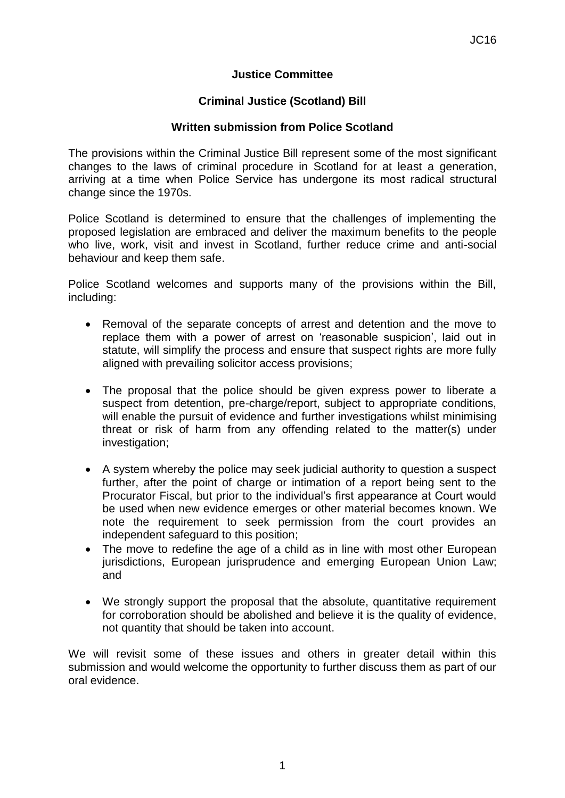### **Justice Committee**

### **Criminal Justice (Scotland) Bill**

#### **Written submission from Police Scotland**

The provisions within the Criminal Justice Bill represent some of the most significant changes to the laws of criminal procedure in Scotland for at least a generation, arriving at a time when Police Service has undergone its most radical structural change since the 1970s.

Police Scotland is determined to ensure that the challenges of implementing the proposed legislation are embraced and deliver the maximum benefits to the people who live, work, visit and invest in Scotland, further reduce crime and anti-social behaviour and keep them safe.

Police Scotland welcomes and supports many of the provisions within the Bill, including:

- Removal of the separate concepts of arrest and detention and the move to replace them with a power of arrest on 'reasonable suspicion', laid out in statute, will simplify the process and ensure that suspect rights are more fully aligned with prevailing solicitor access provisions;
- The proposal that the police should be given express power to liberate a suspect from detention, pre-charge/report, subject to appropriate conditions, will enable the pursuit of evidence and further investigations whilst minimising threat or risk of harm from any offending related to the matter(s) under investigation;
- A system whereby the police may seek judicial authority to question a suspect further, after the point of charge or intimation of a report being sent to the Procurator Fiscal, but prior to the individual's first appearance at Court would be used when new evidence emerges or other material becomes known. We note the requirement to seek permission from the court provides an independent safeguard to this position;
- The move to redefine the age of a child as in line with most other European jurisdictions, European jurisprudence and emerging European Union Law; and
- We strongly support the proposal that the absolute, quantitative requirement for corroboration should be abolished and believe it is the quality of evidence, not quantity that should be taken into account.

We will revisit some of these issues and others in greater detail within this submission and would welcome the opportunity to further discuss them as part of our oral evidence.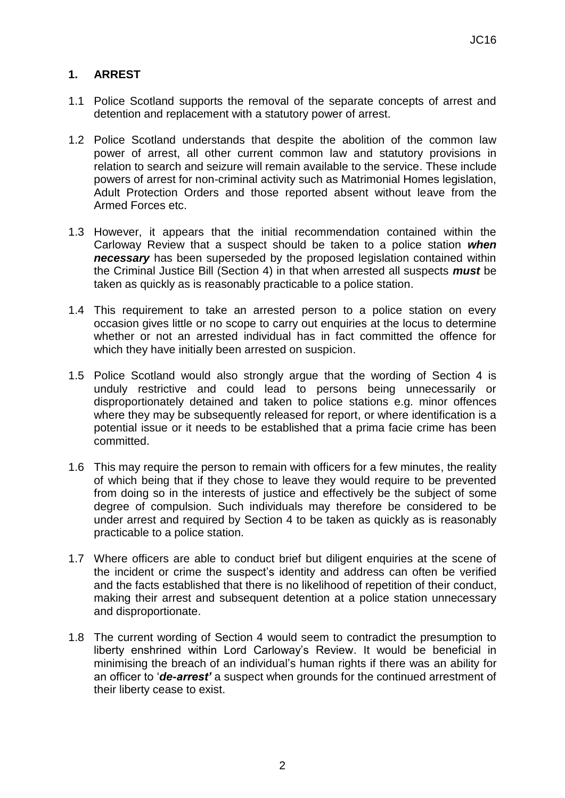# **1. ARREST**

- 1.1 Police Scotland supports the removal of the separate concepts of arrest and detention and replacement with a statutory power of arrest.
- 1.2 Police Scotland understands that despite the abolition of the common law power of arrest, all other current common law and statutory provisions in relation to search and seizure will remain available to the service. These include powers of arrest for non-criminal activity such as Matrimonial Homes legislation, Adult Protection Orders and those reported absent without leave from the Armed Forces etc.
- 1.3 However, it appears that the initial recommendation contained within the Carloway Review that a suspect should be taken to a police station *when necessary* has been superseded by the proposed legislation contained within the Criminal Justice Bill (Section 4) in that when arrested all suspects *must* be taken as quickly as is reasonably practicable to a police station.
- 1.4 This requirement to take an arrested person to a police station on every occasion gives little or no scope to carry out enquiries at the locus to determine whether or not an arrested individual has in fact committed the offence for which they have initially been arrested on suspicion.
- 1.5 Police Scotland would also strongly argue that the wording of Section 4 is unduly restrictive and could lead to persons being unnecessarily or disproportionately detained and taken to police stations e.g. minor offences where they may be subsequently released for report, or where identification is a potential issue or it needs to be established that a prima facie crime has been committed.
- 1.6 This may require the person to remain with officers for a few minutes, the reality of which being that if they chose to leave they would require to be prevented from doing so in the interests of justice and effectively be the subject of some degree of compulsion. Such individuals may therefore be considered to be under arrest and required by Section 4 to be taken as quickly as is reasonably practicable to a police station.
- 1.7 Where officers are able to conduct brief but diligent enquiries at the scene of the incident or crime the suspect's identity and address can often be verified and the facts established that there is no likelihood of repetition of their conduct, making their arrest and subsequent detention at a police station unnecessary and disproportionate.
- 1.8 The current wording of Section 4 would seem to contradict the presumption to liberty enshrined within Lord Carloway's Review. It would be beneficial in minimising the breach of an individual's human rights if there was an ability for an officer to '*de-arrest'* a suspect when grounds for the continued arrestment of their liberty cease to exist.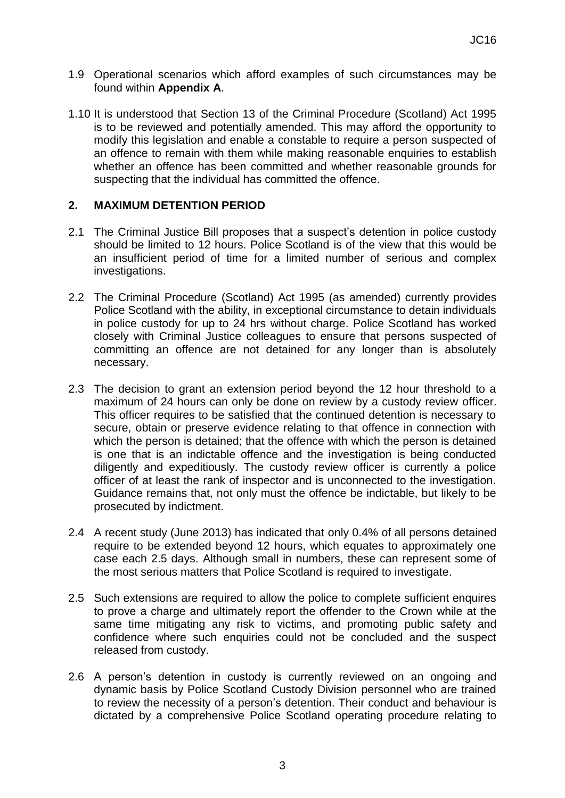- 1.9 Operational scenarios which afford examples of such circumstances may be found within **Appendix A**.
- 1.10 It is understood that Section 13 of the Criminal Procedure (Scotland) Act 1995 is to be reviewed and potentially amended. This may afford the opportunity to modify this legislation and enable a constable to require a person suspected of an offence to remain with them while making reasonable enquiries to establish whether an offence has been committed and whether reasonable grounds for suspecting that the individual has committed the offence.

### **2. MAXIMUM DETENTION PERIOD**

- 2.1 The Criminal Justice Bill proposes that a suspect's detention in police custody should be limited to 12 hours. Police Scotland is of the view that this would be an insufficient period of time for a limited number of serious and complex investigations.
- 2.2 The Criminal Procedure (Scotland) Act 1995 (as amended) currently provides Police Scotland with the ability, in exceptional circumstance to detain individuals in police custody for up to 24 hrs without charge. Police Scotland has worked closely with Criminal Justice colleagues to ensure that persons suspected of committing an offence are not detained for any longer than is absolutely necessary.
- 2.3 The decision to grant an extension period beyond the 12 hour threshold to a maximum of 24 hours can only be done on review by a custody review officer. This officer requires to be satisfied that the continued detention is necessary to secure, obtain or preserve evidence relating to that offence in connection with which the person is detained; that the offence with which the person is detained is one that is an indictable offence and the investigation is being conducted diligently and expeditiously. The custody review officer is currently a police officer of at least the rank of inspector and is unconnected to the investigation. Guidance remains that, not only must the offence be indictable, but likely to be prosecuted by indictment.
- 2.4 A recent study (June 2013) has indicated that only 0.4% of all persons detained require to be extended beyond 12 hours, which equates to approximately one case each 2.5 days. Although small in numbers, these can represent some of the most serious matters that Police Scotland is required to investigate.
- 2.5 Such extensions are required to allow the police to complete sufficient enquires to prove a charge and ultimately report the offender to the Crown while at the same time mitigating any risk to victims, and promoting public safety and confidence where such enquiries could not be concluded and the suspect released from custody.
- 2.6 A person's detention in custody is currently reviewed on an ongoing and dynamic basis by Police Scotland Custody Division personnel who are trained to review the necessity of a person's detention. Their conduct and behaviour is dictated by a comprehensive Police Scotland operating procedure relating to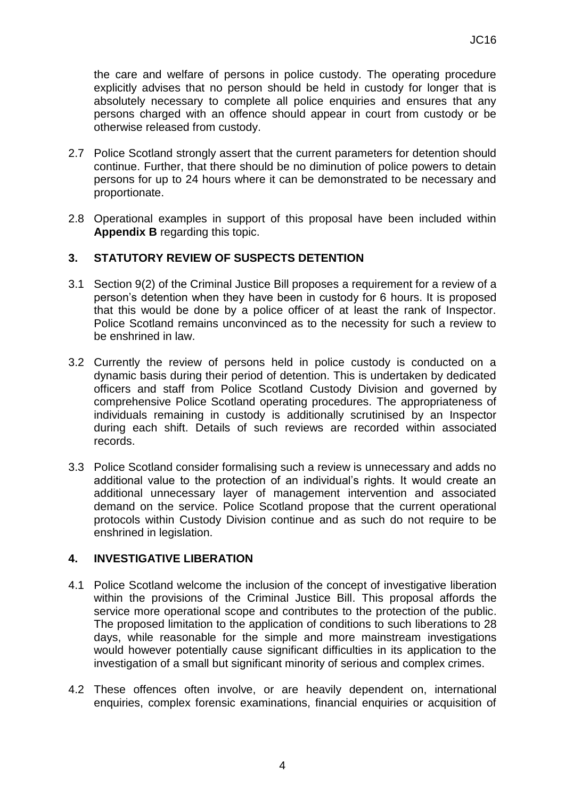the care and welfare of persons in police custody. The operating procedure explicitly advises that no person should be held in custody for longer that is absolutely necessary to complete all police enquiries and ensures that any persons charged with an offence should appear in court from custody or be otherwise released from custody.

- 2.7 Police Scotland strongly assert that the current parameters for detention should continue. Further, that there should be no diminution of police powers to detain persons for up to 24 hours where it can be demonstrated to be necessary and proportionate.
- 2.8 Operational examples in support of this proposal have been included within **Appendix B** regarding this topic.

### **3. STATUTORY REVIEW OF SUSPECTS DETENTION**

- 3.1 Section 9(2) of the Criminal Justice Bill proposes a requirement for a review of a person's detention when they have been in custody for 6 hours. It is proposed that this would be done by a police officer of at least the rank of Inspector. Police Scotland remains unconvinced as to the necessity for such a review to be enshrined in law.
- 3.2 Currently the review of persons held in police custody is conducted on a dynamic basis during their period of detention. This is undertaken by dedicated officers and staff from Police Scotland Custody Division and governed by comprehensive Police Scotland operating procedures. The appropriateness of individuals remaining in custody is additionally scrutinised by an Inspector during each shift. Details of such reviews are recorded within associated records.
- 3.3 Police Scotland consider formalising such a review is unnecessary and adds no additional value to the protection of an individual's rights. It would create an additional unnecessary layer of management intervention and associated demand on the service. Police Scotland propose that the current operational protocols within Custody Division continue and as such do not require to be enshrined in legislation.

### **4. INVESTIGATIVE LIBERATION**

- 4.1 Police Scotland welcome the inclusion of the concept of investigative liberation within the provisions of the Criminal Justice Bill. This proposal affords the service more operational scope and contributes to the protection of the public. The proposed limitation to the application of conditions to such liberations to 28 days, while reasonable for the simple and more mainstream investigations would however potentially cause significant difficulties in its application to the investigation of a small but significant minority of serious and complex crimes.
- 4.2 These offences often involve, or are heavily dependent on, international enquiries, complex forensic examinations, financial enquiries or acquisition of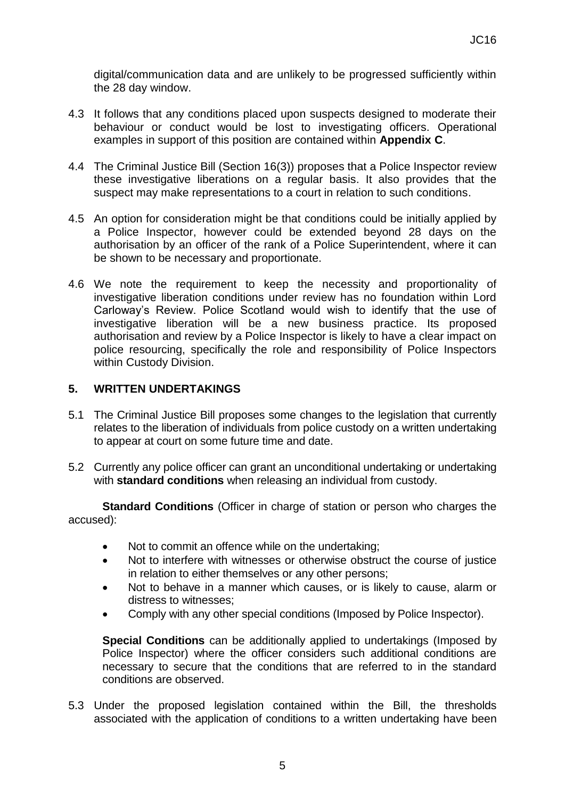digital/communication data and are unlikely to be progressed sufficiently within the 28 day window.

- 4.3 It follows that any conditions placed upon suspects designed to moderate their behaviour or conduct would be lost to investigating officers. Operational examples in support of this position are contained within **Appendix C**.
- 4.4 The Criminal Justice Bill (Section 16(3)) proposes that a Police Inspector review these investigative liberations on a regular basis. It also provides that the suspect may make representations to a court in relation to such conditions.
- 4.5 An option for consideration might be that conditions could be initially applied by a Police Inspector, however could be extended beyond 28 days on the authorisation by an officer of the rank of a Police Superintendent, where it can be shown to be necessary and proportionate.
- 4.6 We note the requirement to keep the necessity and proportionality of investigative liberation conditions under review has no foundation within Lord Carloway's Review. Police Scotland would wish to identify that the use of investigative liberation will be a new business practice. Its proposed authorisation and review by a Police Inspector is likely to have a clear impact on police resourcing, specifically the role and responsibility of Police Inspectors within Custody Division.

### **5. WRITTEN UNDERTAKINGS**

- 5.1 The Criminal Justice Bill proposes some changes to the legislation that currently relates to the liberation of individuals from police custody on a written undertaking to appear at court on some future time and date.
- 5.2 Currently any police officer can grant an unconditional undertaking or undertaking with **standard conditions** when releasing an individual from custody.

**Standard Conditions** (Officer in charge of station or person who charges the accused):

- Not to commit an offence while on the undertaking;
- Not to interfere with witnesses or otherwise obstruct the course of justice in relation to either themselves or any other persons;
- Not to behave in a manner which causes, or is likely to cause, alarm or distress to witnesses;
- Comply with any other special conditions (Imposed by Police Inspector).

**Special Conditions** can be additionally applied to undertakings (Imposed by Police Inspector) where the officer considers such additional conditions are necessary to secure that the conditions that are referred to in the standard conditions are observed.

5.3 Under the proposed legislation contained within the Bill, the thresholds associated with the application of conditions to a written undertaking have been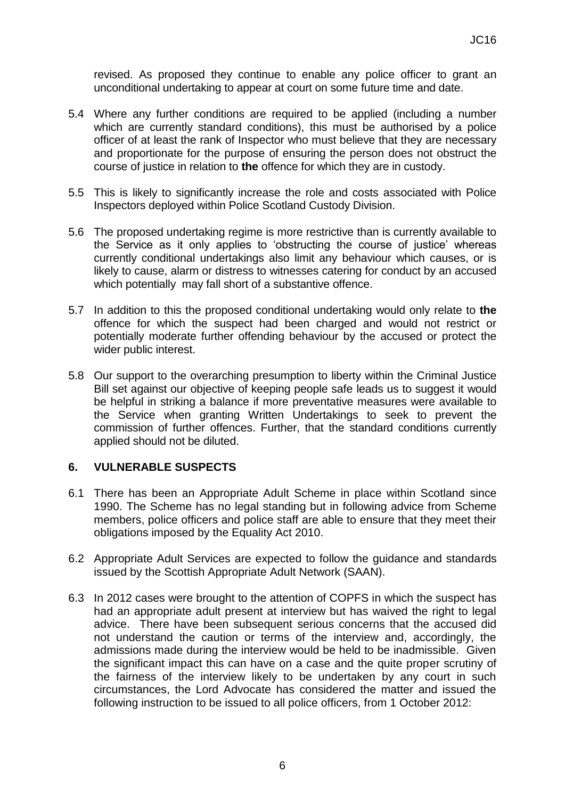revised. As proposed they continue to enable any police officer to grant an unconditional undertaking to appear at court on some future time and date.

- 5.4 Where any further conditions are required to be applied (including a number which are currently standard conditions), this must be authorised by a police officer of at least the rank of Inspector who must believe that they are necessary and proportionate for the purpose of ensuring the person does not obstruct the course of justice in relation to **the** offence for which they are in custody.
- 5.5 This is likely to significantly increase the role and costs associated with Police Inspectors deployed within Police Scotland Custody Division.
- 5.6 The proposed undertaking regime is more restrictive than is currently available to the Service as it only applies to 'obstructing the course of justice' whereas currently conditional undertakings also limit any behaviour which causes, or is likely to cause, alarm or distress to witnesses catering for conduct by an accused which potentially may fall short of a substantive offence.
- 5.7 In addition to this the proposed conditional undertaking would only relate to **the** offence for which the suspect had been charged and would not restrict or potentially moderate further offending behaviour by the accused or protect the wider public interest.
- 5.8 Our support to the overarching presumption to liberty within the Criminal Justice Bill set against our objective of keeping people safe leads us to suggest it would be helpful in striking a balance if more preventative measures were available to the Service when granting Written Undertakings to seek to prevent the commission of further offences. Further, that the standard conditions currently applied should not be diluted.

### **6. VULNERABLE SUSPECTS**

- 6.1 There has been an Appropriate Adult Scheme in place within Scotland since 1990. The Scheme has no legal standing but in following advice from Scheme members, police officers and police staff are able to ensure that they meet their obligations imposed by the Equality Act 2010.
- 6.2 Appropriate Adult Services are expected to follow the guidance and standards issued by the Scottish Appropriate Adult Network (SAAN).
- 6.3 In 2012 cases were brought to the attention of COPFS in which the suspect has had an appropriate adult present at interview but has waived the right to legal advice. There have been subsequent serious concerns that the accused did not understand the caution or terms of the interview and, accordingly, the admissions made during the interview would be held to be inadmissible. Given the significant impact this can have on a case and the quite proper scrutiny of the fairness of the interview likely to be undertaken by any court in such circumstances, the Lord Advocate has considered the matter and issued the following instruction to be issued to all police officers, from 1 October 2012: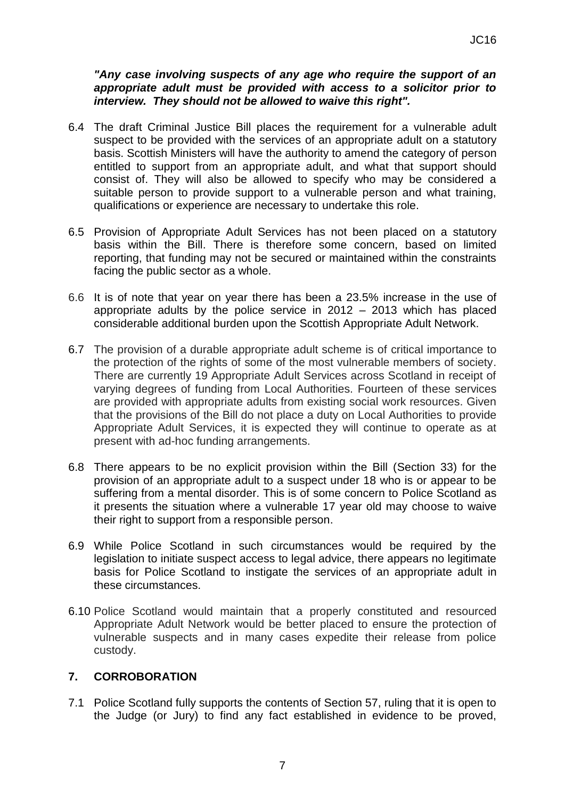#### *"Any case involving suspects of any age who require the support of an appropriate adult must be provided with access to a solicitor prior to interview. They should not be allowed to waive this right".*

- 6.4 The draft Criminal Justice Bill places the requirement for a vulnerable adult suspect to be provided with the services of an appropriate adult on a statutory basis. Scottish Ministers will have the authority to amend the category of person entitled to support from an appropriate adult, and what that support should consist of. They will also be allowed to specify who may be considered a suitable person to provide support to a vulnerable person and what training, qualifications or experience are necessary to undertake this role.
- 6.5 Provision of Appropriate Adult Services has not been placed on a statutory basis within the Bill. There is therefore some concern, based on limited reporting, that funding may not be secured or maintained within the constraints facing the public sector as a whole.
- 6.6 It is of note that year on year there has been a 23.5% increase in the use of appropriate adults by the police service in 2012 – 2013 which has placed considerable additional burden upon the Scottish Appropriate Adult Network.
- 6.7 The provision of a durable appropriate adult scheme is of critical importance to the protection of the rights of some of the most vulnerable members of society. There are currently 19 Appropriate Adult Services across Scotland in receipt of varying degrees of funding from Local Authorities. Fourteen of these services are provided with appropriate adults from existing social work resources. Given that the provisions of the Bill do not place a duty on Local Authorities to provide Appropriate Adult Services, it is expected they will continue to operate as at present with ad-hoc funding arrangements.
- 6.8 There appears to be no explicit provision within the Bill (Section 33) for the provision of an appropriate adult to a suspect under 18 who is or appear to be suffering from a mental disorder. This is of some concern to Police Scotland as it presents the situation where a vulnerable 17 year old may choose to waive their right to support from a responsible person.
- 6.9 While Police Scotland in such circumstances would be required by the legislation to initiate suspect access to legal advice, there appears no legitimate basis for Police Scotland to instigate the services of an appropriate adult in these circumstances.
- 6.10 Police Scotland would maintain that a properly constituted and resourced Appropriate Adult Network would be better placed to ensure the protection of vulnerable suspects and in many cases expedite their release from police custody.

### **7. CORROBORATION**

7.1 Police Scotland fully supports the contents of Section 57, ruling that it is open to the Judge (or Jury) to find any fact established in evidence to be proved,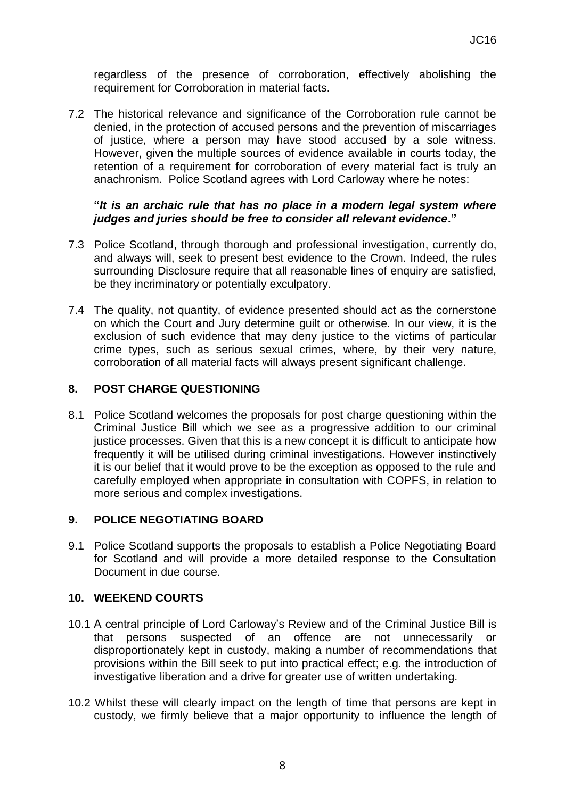regardless of the presence of corroboration, effectively abolishing the requirement for Corroboration in material facts.

7.2 The historical relevance and significance of the Corroboration rule cannot be denied, in the protection of accused persons and the prevention of miscarriages of justice, where a person may have stood accused by a sole witness. However, given the multiple sources of evidence available in courts today, the retention of a requirement for corroboration of every material fact is truly an anachronism. Police Scotland agrees with Lord Carloway where he notes:

#### **"***It is an archaic rule that has no place in a modern legal system where judges and juries should be free to consider all relevant evidence***."**

- 7.3 Police Scotland, through thorough and professional investigation, currently do, and always will, seek to present best evidence to the Crown. Indeed, the rules surrounding Disclosure require that all reasonable lines of enquiry are satisfied, be they incriminatory or potentially exculpatory.
- 7.4 The quality, not quantity, of evidence presented should act as the cornerstone on which the Court and Jury determine guilt or otherwise. In our view, it is the exclusion of such evidence that may deny justice to the victims of particular crime types, such as serious sexual crimes, where, by their very nature, corroboration of all material facts will always present significant challenge.

### **8. POST CHARGE QUESTIONING**

8.1 Police Scotland welcomes the proposals for post charge questioning within the Criminal Justice Bill which we see as a progressive addition to our criminal justice processes. Given that this is a new concept it is difficult to anticipate how frequently it will be utilised during criminal investigations. However instinctively it is our belief that it would prove to be the exception as opposed to the rule and carefully employed when appropriate in consultation with COPFS, in relation to more serious and complex investigations.

#### **9. POLICE NEGOTIATING BOARD**

9.1 Police Scotland supports the proposals to establish a Police Negotiating Board for Scotland and will provide a more detailed response to the Consultation Document in due course.

#### **10. WEEKEND COURTS**

- 10.1 A central principle of Lord Carloway's Review and of the Criminal Justice Bill is that persons suspected of an offence are not unnecessarily or disproportionately kept in custody, making a number of recommendations that provisions within the Bill seek to put into practical effect; e.g. the introduction of investigative liberation and a drive for greater use of written undertaking.
- 10.2 Whilst these will clearly impact on the length of time that persons are kept in custody, we firmly believe that a major opportunity to influence the length of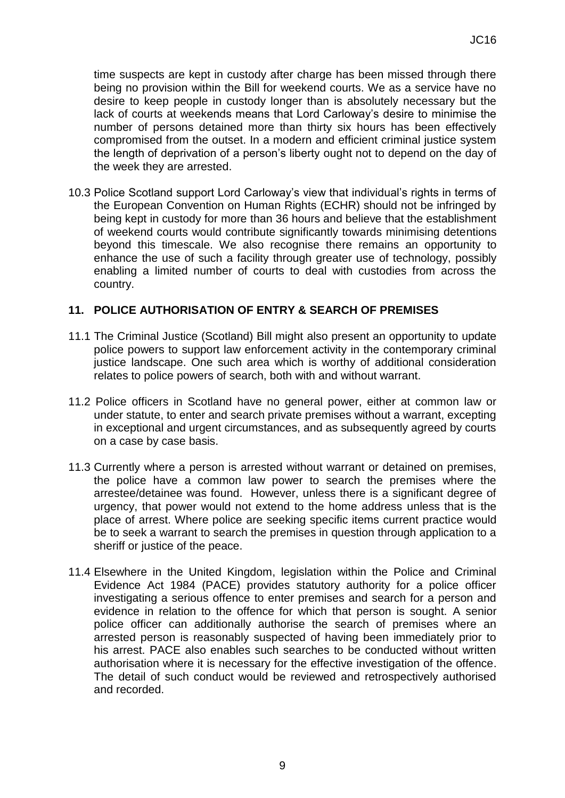time suspects are kept in custody after charge has been missed through there being no provision within the Bill for weekend courts. We as a service have no desire to keep people in custody longer than is absolutely necessary but the lack of courts at weekends means that Lord Carloway's desire to minimise the number of persons detained more than thirty six hours has been effectively compromised from the outset. In a modern and efficient criminal justice system the length of deprivation of a person's liberty ought not to depend on the day of the week they are arrested.

10.3 Police Scotland support Lord Carloway's view that individual's rights in terms of the European Convention on Human Rights (ECHR) should not be infringed by being kept in custody for more than 36 hours and believe that the establishment of weekend courts would contribute significantly towards minimising detentions beyond this timescale. We also recognise there remains an opportunity to enhance the use of such a facility through greater use of technology, possibly enabling a limited number of courts to deal with custodies from across the country.

### **11. POLICE AUTHORISATION OF ENTRY & SEARCH OF PREMISES**

- 11.1 The Criminal Justice (Scotland) Bill might also present an opportunity to update police powers to support law enforcement activity in the contemporary criminal justice landscape. One such area which is worthy of additional consideration relates to police powers of search, both with and without warrant.
- 11.2 Police officers in Scotland have no general power, either at common law or under statute, to enter and search private premises without a warrant, excepting in exceptional and urgent circumstances, and as subsequently agreed by courts on a case by case basis.
- 11.3 Currently where a person is arrested without warrant or detained on premises, the police have a common law power to search the premises where the arrestee/detainee was found. However, unless there is a significant degree of urgency, that power would not extend to the home address unless that is the place of arrest. Where police are seeking specific items current practice would be to seek a warrant to search the premises in question through application to a sheriff or justice of the peace.
- 11.4 Elsewhere in the United Kingdom, legislation within the Police and Criminal Evidence Act 1984 (PACE) provides statutory authority for a police officer investigating a serious offence to enter premises and search for a person and evidence in relation to the offence for which that person is sought. A senior police officer can additionally authorise the search of premises where an arrested person is reasonably suspected of having been immediately prior to his arrest. PACE also enables such searches to be conducted without written authorisation where it is necessary for the effective investigation of the offence. The detail of such conduct would be reviewed and retrospectively authorised and recorded.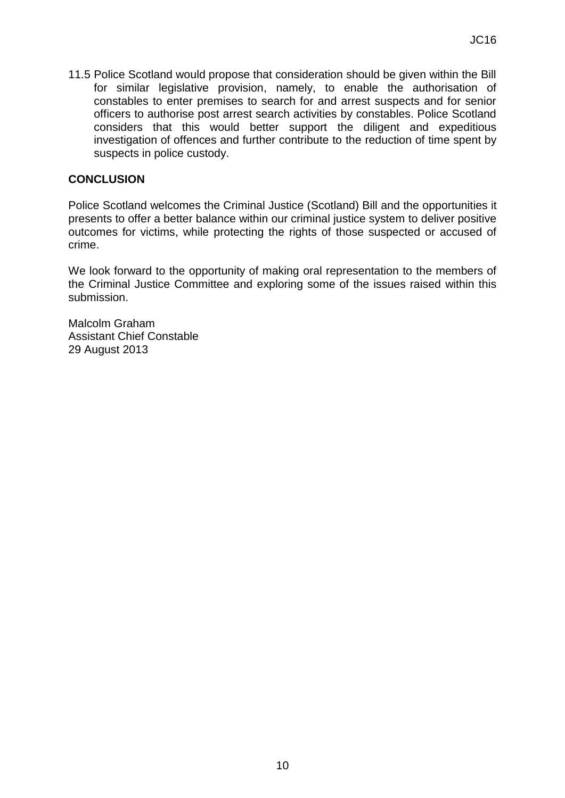11.5 Police Scotland would propose that consideration should be given within the Bill for similar legislative provision, namely, to enable the authorisation of constables to enter premises to search for and arrest suspects and for senior officers to authorise post arrest search activities by constables. Police Scotland considers that this would better support the diligent and expeditious investigation of offences and further contribute to the reduction of time spent by suspects in police custody.

### **CONCLUSION**

Police Scotland welcomes the Criminal Justice (Scotland) Bill and the opportunities it presents to offer a better balance within our criminal justice system to deliver positive outcomes for victims, while protecting the rights of those suspected or accused of crime.

We look forward to the opportunity of making oral representation to the members of the Criminal Justice Committee and exploring some of the issues raised within this submission.

Malcolm Graham Assistant Chief Constable 29 August 2013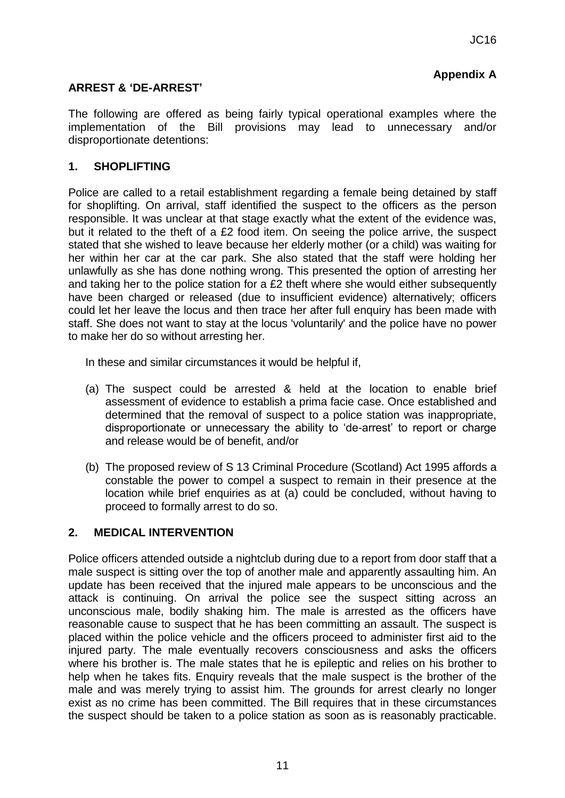# **Appendix A**

### **ARREST & 'DE-ARREST'**

The following are offered as being fairly typical operational examples where the implementation of the Bill provisions may lead to unnecessary and/or disproportionate detentions:

#### **1. SHOPLIFTING**

Police are called to a retail establishment regarding a female being detained by staff for shoplifting. On arrival, staff identified the suspect to the officers as the person responsible. It was unclear at that stage exactly what the extent of the evidence was, but it related to the theft of a £2 food item. On seeing the police arrive, the suspect stated that she wished to leave because her elderly mother (or a child) was waiting for her within her car at the car park. She also stated that the staff were holding her unlawfully as she has done nothing wrong. This presented the option of arresting her and taking her to the police station for a £2 theft where she would either subsequently have been charged or released (due to insufficient evidence) alternatively; officers could let her leave the locus and then trace her after full enquiry has been made with staff. She does not want to stay at the locus 'voluntarily' and the police have no power to make her do so without arresting her.

In these and similar circumstances it would be helpful if,

- (a) The suspect could be arrested & held at the location to enable brief assessment of evidence to establish a prima facie case. Once established and determined that the removal of suspect to a police station was inappropriate, disproportionate or unnecessary the ability to 'de-arrest' to report or charge and release would be of benefit, and/or
- (b) The proposed review of S 13 Criminal Procedure (Scotland) Act 1995 affords a constable the power to compel a suspect to remain in their presence at the location while brief enquiries as at (a) could be concluded, without having to proceed to formally arrest to do so.

#### **2. MEDICAL INTERVENTION**

Police officers attended outside a nightclub during due to a report from door staff that a male suspect is sitting over the top of another male and apparently assaulting him. An update has been received that the injured male appears to be unconscious and the attack is continuing. On arrival the police see the suspect sitting across an unconscious male, bodily shaking him. The male is arrested as the officers have reasonable cause to suspect that he has been committing an assault. The suspect is placed within the police vehicle and the officers proceed to administer first aid to the injured party. The male eventually recovers consciousness and asks the officers where his brother is. The male states that he is epileptic and relies on his brother to help when he takes fits. Enquiry reveals that the male suspect is the brother of the male and was merely trying to assist him. The grounds for arrest clearly no longer exist as no crime has been committed. The Bill requires that in these circumstances the suspect should be taken to a police station as soon as is reasonably practicable.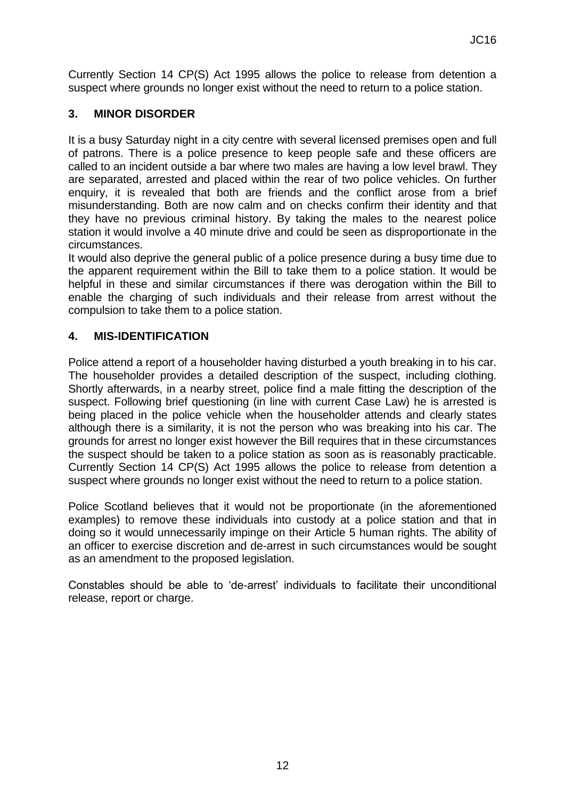Currently Section 14 CP(S) Act 1995 allows the police to release from detention a suspect where grounds no longer exist without the need to return to a police station.

# **3. MINOR DISORDER**

It is a busy Saturday night in a city centre with several licensed premises open and full of patrons. There is a police presence to keep people safe and these officers are called to an incident outside a bar where two males are having a low level brawl. They are separated, arrested and placed within the rear of two police vehicles. On further enquiry, it is revealed that both are friends and the conflict arose from a brief misunderstanding. Both are now calm and on checks confirm their identity and that they have no previous criminal history. By taking the males to the nearest police station it would involve a 40 minute drive and could be seen as disproportionate in the circumstances.

It would also deprive the general public of a police presence during a busy time due to the apparent requirement within the Bill to take them to a police station. It would be helpful in these and similar circumstances if there was derogation within the Bill to enable the charging of such individuals and their release from arrest without the compulsion to take them to a police station.

# **4. MIS-IDENTIFICATION**

Police attend a report of a householder having disturbed a youth breaking in to his car. The householder provides a detailed description of the suspect, including clothing. Shortly afterwards, in a nearby street, police find a male fitting the description of the suspect. Following brief questioning (in line with current Case Law) he is arrested is being placed in the police vehicle when the householder attends and clearly states although there is a similarity, it is not the person who was breaking into his car. The grounds for arrest no longer exist however the Bill requires that in these circumstances the suspect should be taken to a police station as soon as is reasonably practicable. Currently Section 14 CP(S) Act 1995 allows the police to release from detention a suspect where grounds no longer exist without the need to return to a police station.

Police Scotland believes that it would not be proportionate (in the aforementioned examples) to remove these individuals into custody at a police station and that in doing so it would unnecessarily impinge on their Article 5 human rights. The ability of an officer to exercise discretion and de-arrest in such circumstances would be sought as an amendment to the proposed legislation.

Constables should be able to 'de-arrest' individuals to facilitate their unconditional release, report or charge.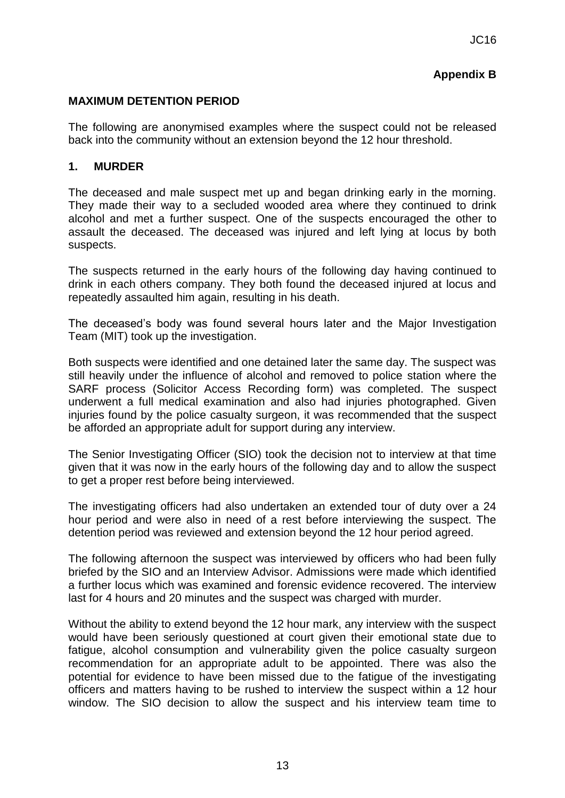# **Appendix B**

### **MAXIMUM DETENTION PERIOD**

The following are anonymised examples where the suspect could not be released back into the community without an extension beyond the 12 hour threshold.

### **1. MURDER**

The deceased and male suspect met up and began drinking early in the morning. They made their way to a secluded wooded area where they continued to drink alcohol and met a further suspect. One of the suspects encouraged the other to assault the deceased. The deceased was injured and left lying at locus by both suspects.

The suspects returned in the early hours of the following day having continued to drink in each others company. They both found the deceased injured at locus and repeatedly assaulted him again, resulting in his death.

The deceased's body was found several hours later and the Major Investigation Team (MIT) took up the investigation.

Both suspects were identified and one detained later the same day. The suspect was still heavily under the influence of alcohol and removed to police station where the SARF process (Solicitor Access Recording form) was completed. The suspect underwent a full medical examination and also had injuries photographed. Given injuries found by the police casualty surgeon, it was recommended that the suspect be afforded an appropriate adult for support during any interview.

The Senior Investigating Officer (SIO) took the decision not to interview at that time given that it was now in the early hours of the following day and to allow the suspect to get a proper rest before being interviewed.

The investigating officers had also undertaken an extended tour of duty over a 24 hour period and were also in need of a rest before interviewing the suspect. The detention period was reviewed and extension beyond the 12 hour period agreed.

The following afternoon the suspect was interviewed by officers who had been fully briefed by the SIO and an Interview Advisor. Admissions were made which identified a further locus which was examined and forensic evidence recovered. The interview last for 4 hours and 20 minutes and the suspect was charged with murder.

Without the ability to extend beyond the 12 hour mark, any interview with the suspect would have been seriously questioned at court given their emotional state due to fatigue, alcohol consumption and vulnerability given the police casualty surgeon recommendation for an appropriate adult to be appointed. There was also the potential for evidence to have been missed due to the fatigue of the investigating officers and matters having to be rushed to interview the suspect within a 12 hour window. The SIO decision to allow the suspect and his interview team time to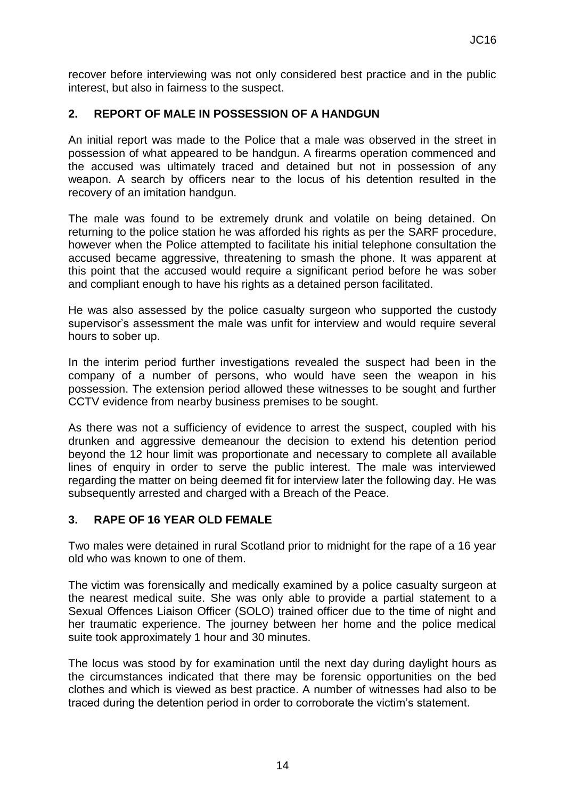recover before interviewing was not only considered best practice and in the public interest, but also in fairness to the suspect.

## **2. REPORT OF MALE IN POSSESSION OF A HANDGUN**

An initial report was made to the Police that a male was observed in the street in possession of what appeared to be handgun. A firearms operation commenced and the accused was ultimately traced and detained but not in possession of any weapon. A search by officers near to the locus of his detention resulted in the recovery of an imitation handgun.

The male was found to be extremely drunk and volatile on being detained. On returning to the police station he was afforded his rights as per the SARF procedure, however when the Police attempted to facilitate his initial telephone consultation the accused became aggressive, threatening to smash the phone. It was apparent at this point that the accused would require a significant period before he was sober and compliant enough to have his rights as a detained person facilitated.

He was also assessed by the police casualty surgeon who supported the custody supervisor's assessment the male was unfit for interview and would require several hours to sober up.

In the interim period further investigations revealed the suspect had been in the company of a number of persons, who would have seen the weapon in his possession. The extension period allowed these witnesses to be sought and further CCTV evidence from nearby business premises to be sought.

As there was not a sufficiency of evidence to arrest the suspect, coupled with his drunken and aggressive demeanour the decision to extend his detention period beyond the 12 hour limit was proportionate and necessary to complete all available lines of enquiry in order to serve the public interest. The male was interviewed regarding the matter on being deemed fit for interview later the following day. He was subsequently arrested and charged with a Breach of the Peace.

### **3. RAPE OF 16 YEAR OLD FEMALE**

Two males were detained in rural Scotland prior to midnight for the rape of a 16 year old who was known to one of them.

The victim was forensically and medically examined by a police casualty surgeon at the nearest medical suite. She was only able to provide a partial statement to a Sexual Offences Liaison Officer (SOLO) trained officer due to the time of night and her traumatic experience. The journey between her home and the police medical suite took approximately 1 hour and 30 minutes.

The locus was stood by for examination until the next day during daylight hours as the circumstances indicated that there may be forensic opportunities on the bed clothes and which is viewed as best practice. A number of witnesses had also to be traced during the detention period in order to corroborate the victim's statement.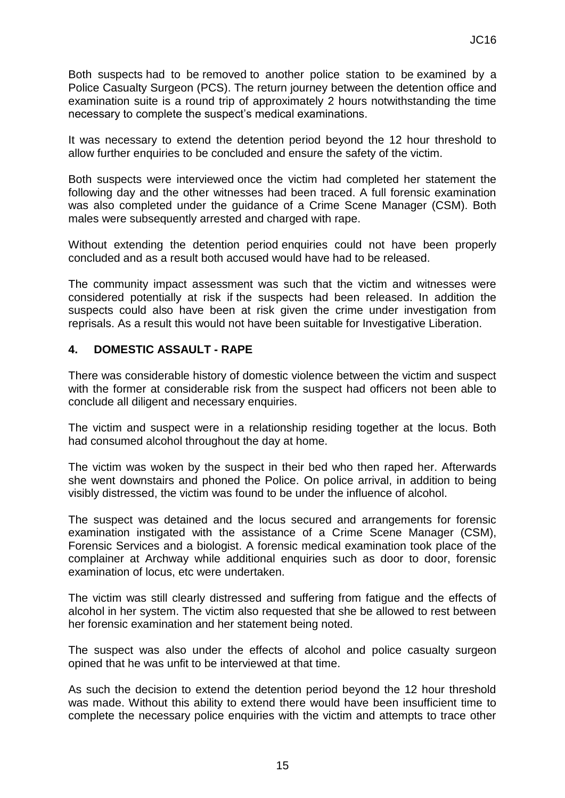Both suspects had to be removed to another police station to be examined by a Police Casualty Surgeon (PCS). The return journey between the detention office and examination suite is a round trip of approximately 2 hours notwithstanding the time necessary to complete the suspect's medical examinations.

It was necessary to extend the detention period beyond the 12 hour threshold to allow further enquiries to be concluded and ensure the safety of the victim.

Both suspects were interviewed once the victim had completed her statement the following day and the other witnesses had been traced. A full forensic examination was also completed under the guidance of a Crime Scene Manager (CSM). Both males were subsequently arrested and charged with rape.

Without extending the detention period enquiries could not have been properly concluded and as a result both accused would have had to be released.

The community impact assessment was such that the victim and witnesses were considered potentially at risk if the suspects had been released. In addition the suspects could also have been at risk given the crime under investigation from reprisals. As a result this would not have been suitable for Investigative Liberation.

### **4. DOMESTIC ASSAULT - RAPE**

There was considerable history of domestic violence between the victim and suspect with the former at considerable risk from the suspect had officers not been able to conclude all diligent and necessary enquiries.

The victim and suspect were in a relationship residing together at the locus. Both had consumed alcohol throughout the day at home.

The victim was woken by the suspect in their bed who then raped her. Afterwards she went downstairs and phoned the Police. On police arrival, in addition to being visibly distressed, the victim was found to be under the influence of alcohol.

The suspect was detained and the locus secured and arrangements for forensic examination instigated with the assistance of a Crime Scene Manager (CSM), Forensic Services and a biologist. A forensic medical examination took place of the complainer at Archway while additional enquiries such as door to door, forensic examination of locus, etc were undertaken.

The victim was still clearly distressed and suffering from fatigue and the effects of alcohol in her system. The victim also requested that she be allowed to rest between her forensic examination and her statement being noted.

The suspect was also under the effects of alcohol and police casualty surgeon opined that he was unfit to be interviewed at that time.

As such the decision to extend the detention period beyond the 12 hour threshold was made. Without this ability to extend there would have been insufficient time to complete the necessary police enquiries with the victim and attempts to trace other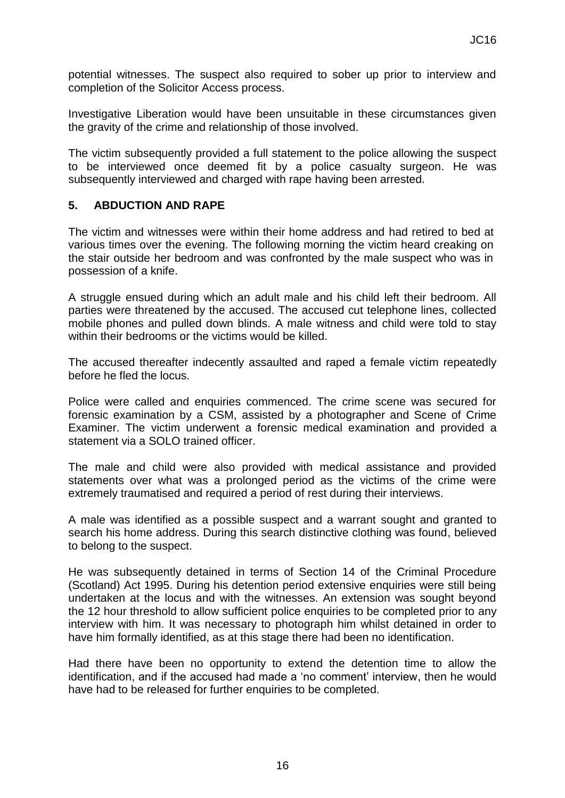potential witnesses. The suspect also required to sober up prior to interview and completion of the Solicitor Access process.

Investigative Liberation would have been unsuitable in these circumstances given the gravity of the crime and relationship of those involved.

The victim subsequently provided a full statement to the police allowing the suspect to be interviewed once deemed fit by a police casualty surgeon. He was subsequently interviewed and charged with rape having been arrested.

### **5. ABDUCTION AND RAPE**

The victim and witnesses were within their home address and had retired to bed at various times over the evening. The following morning the victim heard creaking on the stair outside her bedroom and was confronted by the male suspect who was in possession of a knife.

A struggle ensued during which an adult male and his child left their bedroom. All parties were threatened by the accused. The accused cut telephone lines, collected mobile phones and pulled down blinds. A male witness and child were told to stay within their bedrooms or the victims would be killed.

The accused thereafter indecently assaulted and raped a female victim repeatedly before he fled the locus.

Police were called and enquiries commenced. The crime scene was secured for forensic examination by a CSM, assisted by a photographer and Scene of Crime Examiner. The victim underwent a forensic medical examination and provided a statement via a SOLO trained officer.

The male and child were also provided with medical assistance and provided statements over what was a prolonged period as the victims of the crime were extremely traumatised and required a period of rest during their interviews.

A male was identified as a possible suspect and a warrant sought and granted to search his home address. During this search distinctive clothing was found, believed to belong to the suspect.

He was subsequently detained in terms of Section 14 of the Criminal Procedure (Scotland) Act 1995. During his detention period extensive enquiries were still being undertaken at the locus and with the witnesses. An extension was sought beyond the 12 hour threshold to allow sufficient police enquiries to be completed prior to any interview with him. It was necessary to photograph him whilst detained in order to have him formally identified, as at this stage there had been no identification.

Had there have been no opportunity to extend the detention time to allow the identification, and if the accused had made a 'no comment' interview, then he would have had to be released for further enquiries to be completed.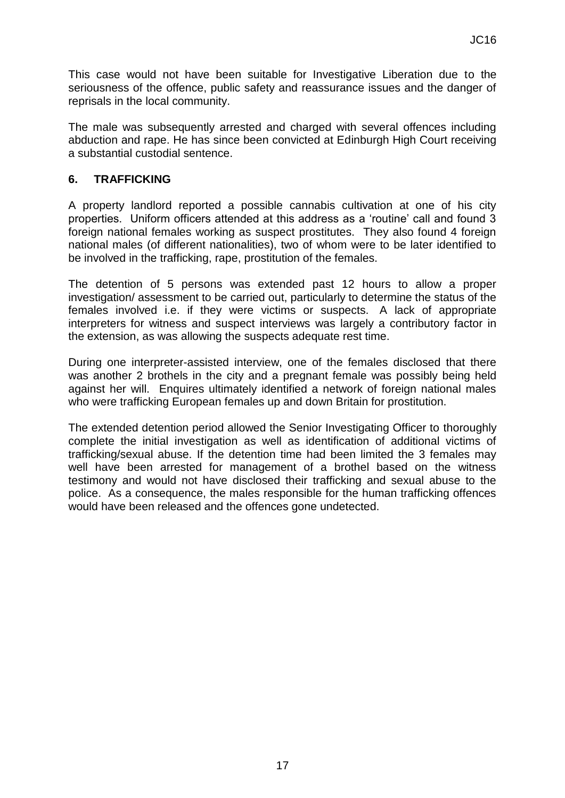This case would not have been suitable for Investigative Liberation due to the seriousness of the offence, public safety and reassurance issues and the danger of reprisals in the local community.

The male was subsequently arrested and charged with several offences including abduction and rape. He has since been convicted at Edinburgh High Court receiving a substantial custodial sentence.

### **6. TRAFFICKING**

A property landlord reported a possible cannabis cultivation at one of his city properties. Uniform officers attended at this address as a 'routine' call and found 3 foreign national females working as suspect prostitutes. They also found 4 foreign national males (of different nationalities), two of whom were to be later identified to be involved in the trafficking, rape, prostitution of the females.

The detention of 5 persons was extended past 12 hours to allow a proper investigation/ assessment to be carried out, particularly to determine the status of the females involved i.e. if they were victims or suspects. A lack of appropriate interpreters for witness and suspect interviews was largely a contributory factor in the extension, as was allowing the suspects adequate rest time.

During one interpreter-assisted interview, one of the females disclosed that there was another 2 brothels in the city and a pregnant female was possibly being held against her will. Enquires ultimately identified a network of foreign national males who were trafficking European females up and down Britain for prostitution.

The extended detention period allowed the Senior Investigating Officer to thoroughly complete the initial investigation as well as identification of additional victims of trafficking/sexual abuse. If the detention time had been limited the 3 females may well have been arrested for management of a brothel based on the witness testimony and would not have disclosed their trafficking and sexual abuse to the police. As a consequence, the males responsible for the human trafficking offences would have been released and the offences gone undetected.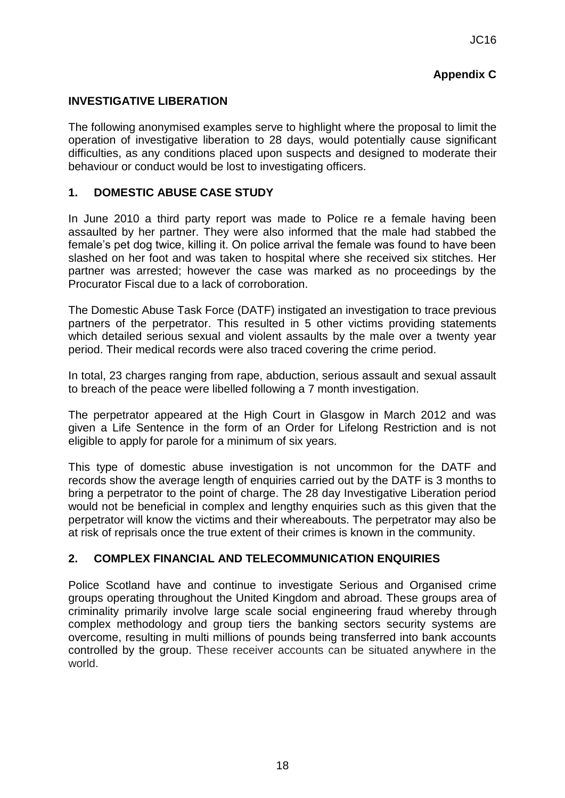# **Appendix C**

## **INVESTIGATIVE LIBERATION**

The following anonymised examples serve to highlight where the proposal to limit the operation of investigative liberation to 28 days, would potentially cause significant difficulties, as any conditions placed upon suspects and designed to moderate their behaviour or conduct would be lost to investigating officers.

# **1. DOMESTIC ABUSE CASE STUDY**

In June 2010 a third party report was made to Police re a female having been assaulted by her partner. They were also informed that the male had stabbed the female's pet dog twice, killing it. On police arrival the female was found to have been slashed on her foot and was taken to hospital where she received six stitches. Her partner was arrested; however the case was marked as no proceedings by the Procurator Fiscal due to a lack of corroboration.

The Domestic Abuse Task Force (DATF) instigated an investigation to trace previous partners of the perpetrator. This resulted in 5 other victims providing statements which detailed serious sexual and violent assaults by the male over a twenty year period. Their medical records were also traced covering the crime period.

In total, 23 charges ranging from rape, abduction, serious assault and sexual assault to breach of the peace were libelled following a 7 month investigation.

The perpetrator appeared at the High Court in Glasgow in March 2012 and was given a Life Sentence in the form of an Order for Lifelong Restriction and is not eligible to apply for parole for a minimum of six years.

This type of domestic abuse investigation is not uncommon for the DATF and records show the average length of enquiries carried out by the DATF is 3 months to bring a perpetrator to the point of charge. The 28 day Investigative Liberation period would not be beneficial in complex and lengthy enquiries such as this given that the perpetrator will know the victims and their whereabouts. The perpetrator may also be at risk of reprisals once the true extent of their crimes is known in the community.

### **2. COMPLEX FINANCIAL AND TELECOMMUNICATION ENQUIRIES**

Police Scotland have and continue to investigate Serious and Organised crime groups operating throughout the United Kingdom and abroad. These groups area of criminality primarily involve large scale social engineering fraud whereby through complex methodology and group tiers the banking sectors security systems are overcome, resulting in multi millions of pounds being transferred into bank accounts controlled by the group. These receiver accounts can be situated anywhere in the world.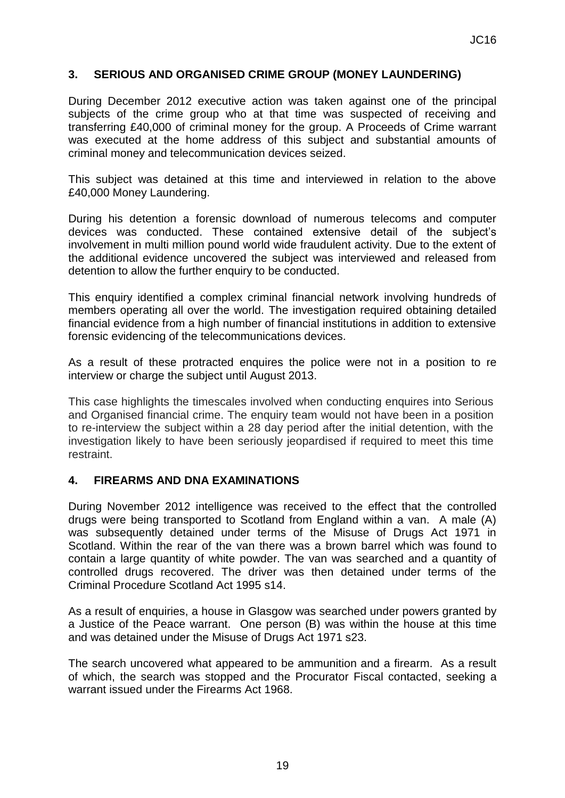### **3. SERIOUS AND ORGANISED CRIME GROUP (MONEY LAUNDERING)**

During December 2012 executive action was taken against one of the principal subjects of the crime group who at that time was suspected of receiving and transferring £40,000 of criminal money for the group. A Proceeds of Crime warrant was executed at the home address of this subject and substantial amounts of criminal money and telecommunication devices seized.

This subject was detained at this time and interviewed in relation to the above £40,000 Money Laundering.

During his detention a forensic download of numerous telecoms and computer devices was conducted. These contained extensive detail of the subject's involvement in multi million pound world wide fraudulent activity. Due to the extent of the additional evidence uncovered the subject was interviewed and released from detention to allow the further enquiry to be conducted.

This enquiry identified a complex criminal financial network involving hundreds of members operating all over the world. The investigation required obtaining detailed financial evidence from a high number of financial institutions in addition to extensive forensic evidencing of the telecommunications devices.

As a result of these protracted enquires the police were not in a position to re interview or charge the subject until August 2013.

This case highlights the timescales involved when conducting enquires into Serious and Organised financial crime. The enquiry team would not have been in a position to re-interview the subject within a 28 day period after the initial detention, with the investigation likely to have been seriously jeopardised if required to meet this time restraint.

#### **4. FIREARMS AND DNA EXAMINATIONS**

During November 2012 intelligence was received to the effect that the controlled drugs were being transported to Scotland from England within a van. A male (A) was subsequently detained under terms of the Misuse of Drugs Act 1971 in Scotland. Within the rear of the van there was a brown barrel which was found to contain a large quantity of white powder. The van was searched and a quantity of controlled drugs recovered. The driver was then detained under terms of the Criminal Procedure Scotland Act 1995 s14.

As a result of enquiries, a house in Glasgow was searched under powers granted by a Justice of the Peace warrant. One person (B) was within the house at this time and was detained under the Misuse of Drugs Act 1971 s23.

The search uncovered what appeared to be ammunition and a firearm. As a result of which, the search was stopped and the Procurator Fiscal contacted, seeking a warrant issued under the Firearms Act 1968.